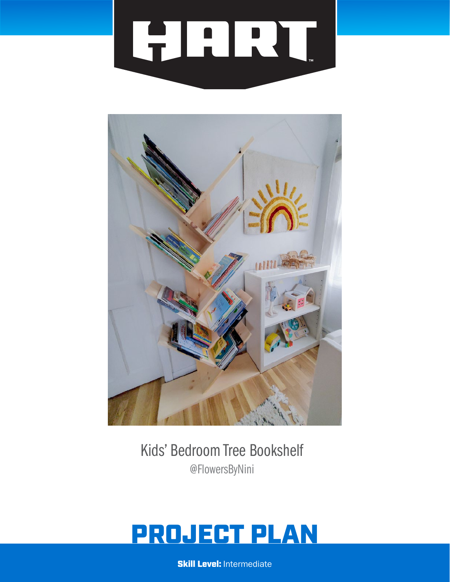



Kids' Bedroom Tree Bookshelf @FlowersByNini

# PROJECT PLAN

**Skill Level: Intermediate**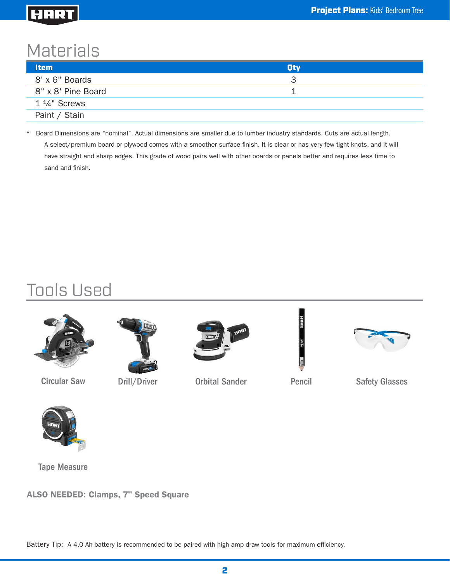### HART

# **Materials**

| <b>Item</b>             | <b>Oty</b> |  |
|-------------------------|------------|--|
| 8' x 6" Boards          | З          |  |
| 8" x 8' Pine Board      |            |  |
| $1\frac{1}{4}$ " Screws |            |  |
| Paint / Stain           |            |  |

\* Board Dimensions are "nominal". Actual dimensions are smaller due to lumber industry standards. Cuts are actual length. A select/premium board or plywood comes with a smoother surface finish. It is clear or has very few tight knots, and it will have straight and sharp edges. This grade of wood pairs well with other boards or panels better and requires less time to sand and finish.

# Tools Used



Circular Saw Drill/Driver





Orbital Sander



Pencil Safety Glasses



Tape Measure

ALSO NEEDED: Clamps, 7" Speed Square

Battery Tip: A 4.0 Ah battery is recommended to be paired with high amp draw tools for maximum efficiency.